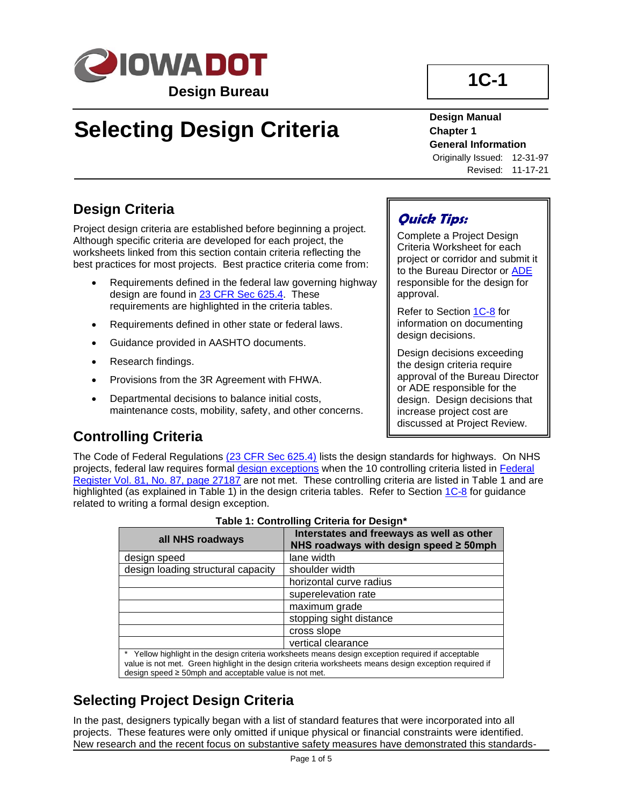

# **Selecting Design Criteria**

# **1C-1**

#### **Design Manual Chapter 1 General Information**

Originally Issued: 12-31-97 Revised: 11-17-21

## **Design Criteria**

Project design criteria are established before beginning a project. Although specific criteria are developed for each project, the worksheets linked from this section contain criteria reflecting the best practices for most projects. Best practice criteria come from:

- Requirements defined in the federal law governing highway design are found in 23 CFR [Sec 625.4.](http://www.ecfr.gov/cgi-bin/retrieveECFR?gp=1&SID=6bed1ee099ba84cd912a0b3bf701daa5&ty=HTML&h=L&n=23y1.0.1.7.18&r=PART#23:1.0.1.7.18.0.1.4) These requirements are highlighted in the criteria tables.
- Requirements defined in other state or federal laws.
- Guidance provided in AASHTO documents.
- Research findings.
- Provisions from the 3R Agreement with FHWA.
- Departmental decisions to balance initial costs, maintenance costs, mobility, safety, and other concerns.

## **Quick Tips:**

Complete a Project Design Criteria Worksheet for each project or corridor and submit it to the Bureau Director o[r ADE](01b-01/ADE.pdf) responsible for the design for approval.

Refer to Section [1C-8](01C-08.pdf) for information on documenting design decisions.

Design decisions exceeding the design criteria require approval of the Bureau Director or ADE responsible for the design. Design decisions that increase project cost are discussed at Project Review.

## **Controlling Criteria**

The Code of Federal Regulations [\(23 CFR Sec 625.4\)](http://www.ecfr.gov/cgi-bin/retrieveECFR?gp=1&SID=6bed1ee099ba84cd912a0b3bf701daa5&ty=HTML&h=L&n=23y1.0.1.7.18&r=PART#23:1.0.1.7.18.0.1.4) lists the design standards for highways. On NHS projects, federal law requires formal [design exceptions](01b-01/DesignException.pdf) when the 10 controlling criteria listed in Federal [Register Vol. 81, No. 87, page 27187](01c-01/FR_Vol_81_No_87.pdf) are not met. These controlling criteria are listed in Table 1 and are highlighted (as explained in Table 1) in the design criteria tables. Refer to Section [1C-8](01c-08.pdf) for guidance related to writing a formal design exception.

| <b>1991, 1991, 1991, 1991, 1991, 1991, 1991, 1991, 1991</b> |                                                                                                                                                                                                              |  |
|-------------------------------------------------------------|--------------------------------------------------------------------------------------------------------------------------------------------------------------------------------------------------------------|--|
| all NHS roadways                                            | Interstates and freeways as well as other<br>NHS roadways with design speed ≥ 50mph                                                                                                                          |  |
| design speed                                                | lane width                                                                                                                                                                                                   |  |
| design loading structural capacity                          | shoulder width                                                                                                                                                                                               |  |
|                                                             | horizontal curve radius                                                                                                                                                                                      |  |
|                                                             | superelevation rate                                                                                                                                                                                          |  |
|                                                             | maximum grade                                                                                                                                                                                                |  |
|                                                             | stopping sight distance                                                                                                                                                                                      |  |
|                                                             | cross slope                                                                                                                                                                                                  |  |
|                                                             | vertical clearance                                                                                                                                                                                           |  |
| design speed $\geq$ 50mph and acceptable value is not met.  | * Yellow highlight in the design criteria worksheets means design exception required if acceptable<br>value is not met. Green highlight in the design criteria worksheets means design exception required if |  |

#### **Table 1: Controlling Criteria for Design\***

## **Selecting Project Design Criteria**

In the past, designers typically began with a list of standard features that were incorporated into all projects. These features were only omitted if unique physical or financial constraints were identified. New research and the recent focus on substantive safety measures have demonstrated this standards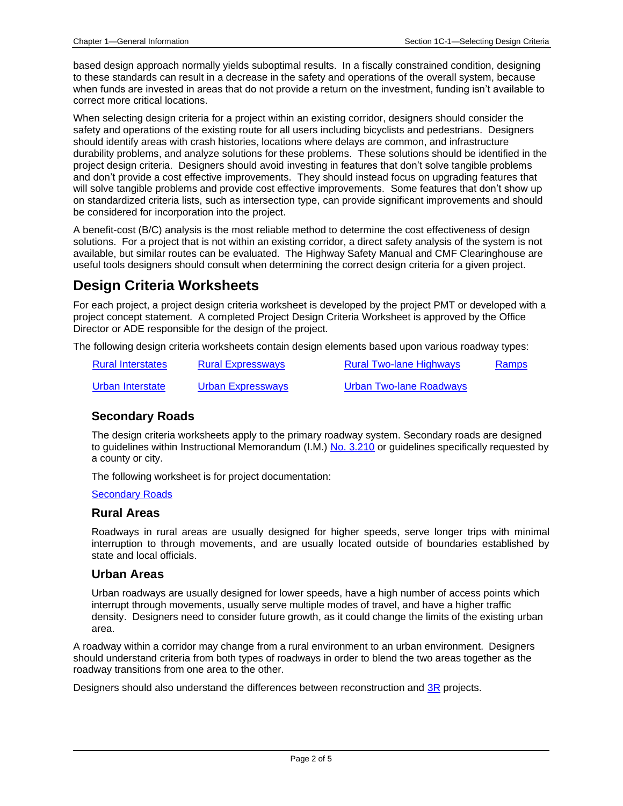based design approach normally yields suboptimal results. In a fiscally constrained condition, designing to these standards can result in a decrease in the safety and operations of the overall system, because when funds are invested in areas that do not provide a return on the investment, funding isn't available to correct more critical locations.

When selecting design criteria for a project within an existing corridor, designers should consider the safety and operations of the existing route for all users including bicyclists and pedestrians. Designers should identify areas with crash histories, locations where delays are common, and infrastructure durability problems, and analyze solutions for these problems. These solutions should be identified in the project design criteria. Designers should avoid investing in features that don't solve tangible problems and don't provide a cost effective improvements. They should instead focus on upgrading features that will solve tangible problems and provide cost effective improvements. Some features that don't show up on standardized criteria lists, such as intersection type, can provide significant improvements and should be considered for incorporation into the project.

A benefit-cost (B/C) analysis is the most reliable method to determine the cost effectiveness of design solutions. For a project that is not within an existing corridor, a direct safety analysis of the system is not available, but similar routes can be evaluated. The Highway Safety Manual and CMF Clearinghouse are useful tools designers should consult when determining the correct design criteria for a given project.

## **Design Criteria Worksheets**

For each project, a project design criteria worksheet is developed by the project PMT or developed with a project concept statement. A completed Project Design Criteria Worksheet is approved by the Office Director or ADE responsible for the design of the project.

The following design criteria worksheets contain design elements based upon various roadway types:

| <b>Rural Interstates</b> | <b>Rural Expressways</b> | <b>Rural Two-lane Highways</b> | Ramps |
|--------------------------|--------------------------|--------------------------------|-------|
| Urban Interstate         | Urban Expressways        | Urban Two-lane Roadways        |       |

#### **Secondary Roads**

The design criteria worksheets apply to the primary roadway system. Secondary roads are designed to guidelines within Instructional Memorandum (I.M.) [No. 3.210](https://www.iowadot.gov/local_systems/publications/im/3210.pdf) or guidelines specifically requested by a county or city.

The following worksheet is for project documentation:

#### [Secondary Roads](01c-01/SecondaryRoads.xlsm)

#### **Rural Areas**

Roadways in rural areas are usually designed for higher speeds, serve longer trips with minimal interruption to through movements, and are usually located outside of boundaries established by state and local officials.

#### **Urban Areas**

Urban roadways are usually designed for lower speeds, have a high number of access points which interrupt through movements, usually serve multiple modes of travel, and have a higher traffic density. Designers need to consider future growth, as it could change the limits of the existing urban area.

A roadway within a corridor may change from a rural environment to an urban environment. Designers should understand criteria from both types of roadways in order to blend the two areas together as the roadway transitions from one area to the other.

Designers should also understand the differences between reconstruction and [3R](01b-01/3R.pdf) projects.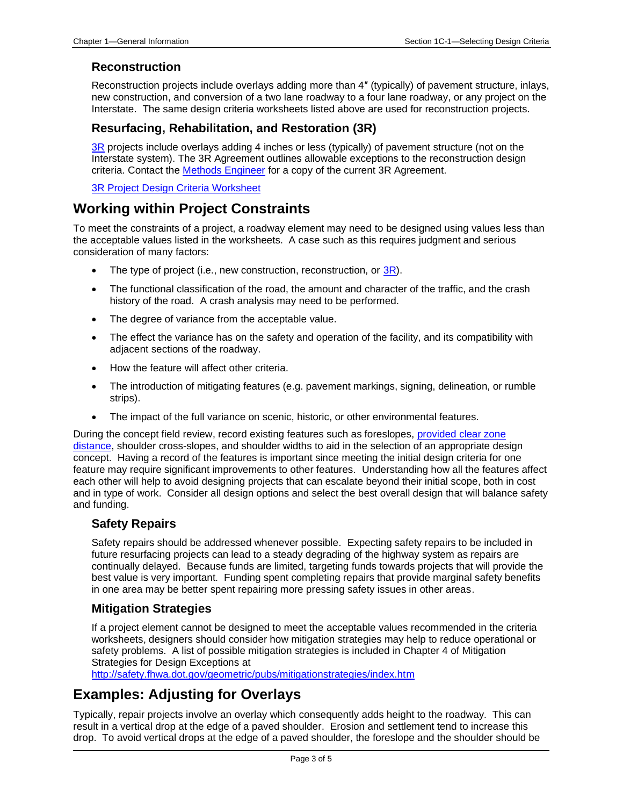#### **Reconstruction**

Reconstruction projects include overlays adding more than 4″ (typically) of pavement structure, inlays, new construction, and conversion of a two lane roadway to a four lane roadway, or any project on the Interstate. The same design criteria worksheets listed above are used for reconstruction projects.

#### **Resurfacing, Rehabilitation, and Restoration (3R)**

[3R](01b-01/3R.pdf) projects include overlays adding 4 inches or less (typically) of pavement structure (not on the Interstate system). The 3R Agreement outlines allowable exceptions to the reconstruction design criteria. Contact the [Methods Engineer](01B-02/MethodsEngineer.pdf) for a copy of the current 3R Agreement.

[3R Project Design Criteria Worksheet](01c-01/3R.pdf)

### **Working within Project Constraints**

To meet the constraints of a project, a roadway element may need to be designed using values less than the acceptable values listed in the worksheets. A case such as this requires judgment and serious consideration of many factors:

- The type of project (i.e., new construction, reconstruction, or [3R\)](01b-01/3R.pdf).
- The functional classification of the road, the amount and character of the traffic, and the crash history of the road. A crash analysis may need to be performed.
- The degree of variance from the acceptable value.
- The effect the variance has on the safety and operation of the facility, and its compatibility with adjacent sections of the roadway.
- How the feature will affect other criteria.
- The introduction of mitigating features (e.g. pavement markings, signing, delineation, or rumble strips).
- The impact of the full variance on scenic, historic, or other environmental features.

During the concept field review, record existing features such as foreslopes, [provided clear zone](01b-01/ProvidedClearZoneDistance.pdf)  [distance,](01b-01/ProvidedClearZoneDistance.pdf) shoulder cross-slopes, and shoulder widths to aid in the selection of an appropriate design concept. Having a record of the features is important since meeting the initial design criteria for one feature may require significant improvements to other features. Understanding how all the features affect each other will help to avoid designing projects that can escalate beyond their initial scope, both in cost and in type of work. Consider all design options and select the best overall design that will balance safety and funding.

#### **Safety Repairs**

Safety repairs should be addressed whenever possible. Expecting safety repairs to be included in future resurfacing projects can lead to a steady degrading of the highway system as repairs are continually delayed. Because funds are limited, targeting funds towards projects that will provide the best value is very important. Funding spent completing repairs that provide marginal safety benefits in one area may be better spent repairing more pressing safety issues in other areas.

#### **Mitigation Strategies**

If a project element cannot be designed to meet the acceptable values recommended in the criteria worksheets, designers should consider how mitigation strategies may help to reduce operational or safety problems. A list of possible mitigation strategies is included in Chapter 4 of Mitigation Strategies for Design Exceptions at

<http://safety.fhwa.dot.gov/geometric/pubs/mitigationstrategies/index.htm>

### **Examples: Adjusting for Overlays**

Typically, repair projects involve an overlay which consequently adds height to the roadway. This can result in a vertical drop at the edge of a paved shoulder. Erosion and settlement tend to increase this drop. To avoid vertical drops at the edge of a paved shoulder, the foreslope and the shoulder should be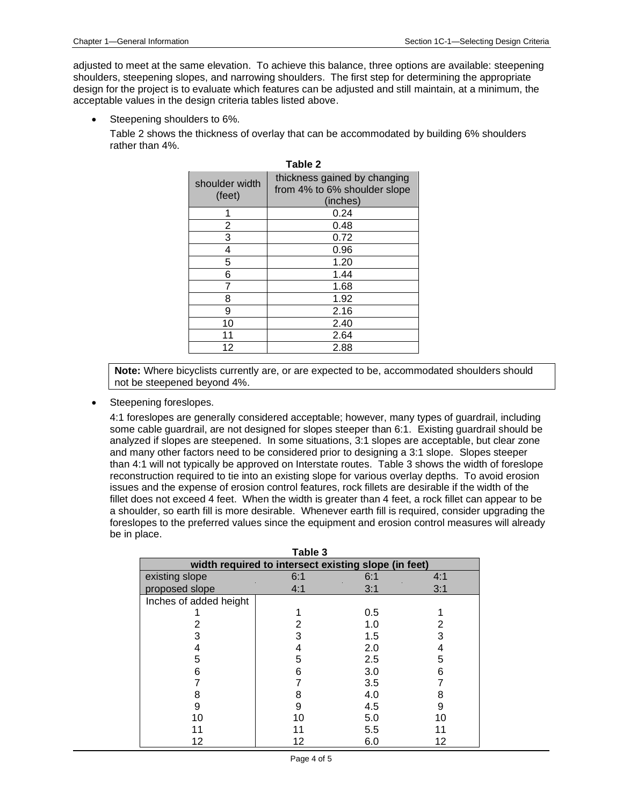adjusted to meet at the same elevation. To achieve this balance, three options are available: steepening shoulders, steepening slopes, and narrowing shoulders. The first step for determining the appropriate design for the project is to evaluate which features can be adjusted and still maintain, at a minimum, the acceptable values in the design criteria tables listed above.

Steepening shoulders to 6%.

Table 2 shows the thickness of overlay that can be accommodated by building 6% shoulders rather than 4%.

| shoulder width<br>(feet) | thickness gained by changing<br>from 4% to 6% shoulder slope<br>(inches) |
|--------------------------|--------------------------------------------------------------------------|
|                          | 0.24                                                                     |
| 2                        | 0.48                                                                     |
| 3                        | 0.72                                                                     |
| 4                        | 0.96                                                                     |
| 5                        | 1.20                                                                     |
| 6                        | 1.44                                                                     |
|                          | 1.68                                                                     |
| 8                        | 1.92                                                                     |
| 9                        | 2.16                                                                     |
| 10                       | 2.40                                                                     |
| 11                       | 2.64                                                                     |
| 12                       | 2.88                                                                     |

**Table 2**

**Note:** Where bicyclists currently are, or are expected to be, accommodated shoulders should not be steepened beyond 4%.

Steepening foreslopes.

4:1 foreslopes are generally considered acceptable; however, many types of guardrail, including some cable guardrail, are not designed for slopes steeper than 6:1. Existing guardrail should be analyzed if slopes are steepened. In some situations, 3:1 slopes are acceptable, but clear zone and many other factors need to be considered prior to designing a 3:1 slope. Slopes steeper than 4:1 will not typically be approved on Interstate routes. Table 3 shows the width of foreslope reconstruction required to tie into an existing slope for various overlay depths. To avoid erosion issues and the expense of erosion control features, rock fillets are desirable if the width of the fillet does not exceed 4 feet. When the width is greater than 4 feet, a rock fillet can appear to be a shoulder, so earth fill is more desirable. Whenever earth fill is required, consider upgrading the foreslopes to the preferred values since the equipment and erosion control measures will already be in place.

| Table 3                                              |     |     |     |  |
|------------------------------------------------------|-----|-----|-----|--|
| width required to intersect existing slope (in feet) |     |     |     |  |
| existing slope                                       | 6:1 | 6:1 | 4:1 |  |
| proposed slope                                       | 4:1 | 3:1 | 3:1 |  |
| Inches of added height                               |     |     |     |  |
|                                                      |     | 0.5 |     |  |
| 2                                                    |     | 1.0 | 2   |  |
| 3                                                    | 3   | 1.5 | 3   |  |
|                                                      |     | 2.0 |     |  |
| 5                                                    | 5   | 2.5 | 5   |  |
| 6                                                    | 6   | 3.0 | 6   |  |
|                                                      |     | 3.5 |     |  |
| 8                                                    | 8   | 4.0 | 8   |  |
| 9                                                    | 9   | 4.5 | 9   |  |
| 10                                                   | 10  | 5.0 | 10  |  |
|                                                      | 11  | 5.5 |     |  |
| 12                                                   | 12  | 6.0 | 12  |  |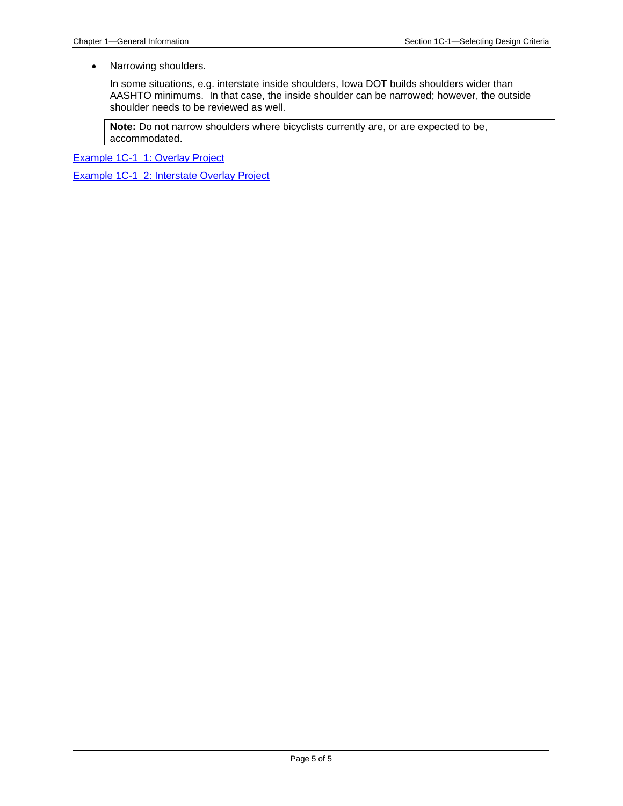• Narrowing shoulders.

In some situations, e.g. interstate inside shoulders, Iowa DOT builds shoulders wider than AASHTO minimums. In that case, the inside shoulder can be narrowed; however, the outside shoulder needs to be reviewed as well.

**Note:** Do not narrow shoulders where bicyclists currently are, or are expected to be, accommodated.

[Example 1C-1\\_1: Overlay Project](01c-01/Example_Problem_1C-1_1.pdf)

Example [1C-1\\_2: Interstate Overlay Project](01c-01/Example_Problem_1C-1_2.pdf)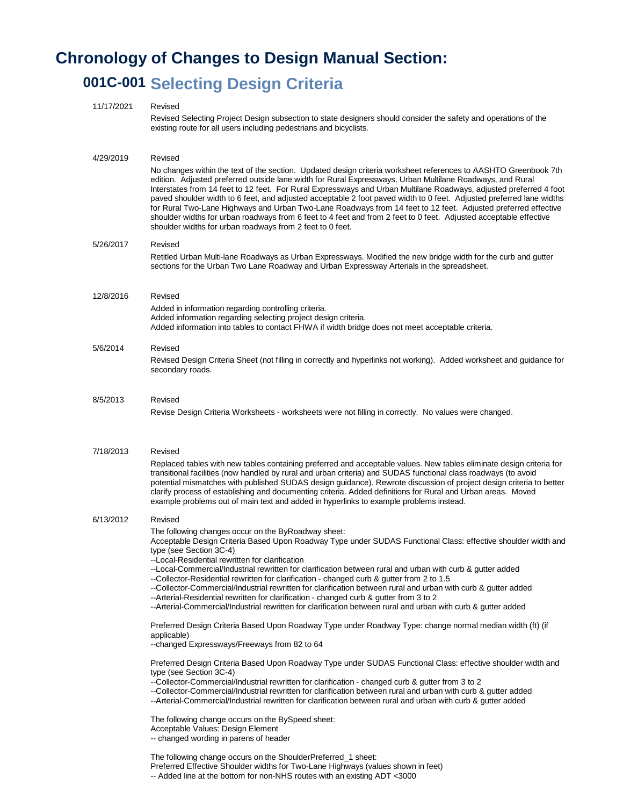# **Chronology of Changes to Design Manual Section:**

# **001C-001 Selecting Design Criteria**

| 11/17/2021 | Revised<br>Revised Selecting Project Design subsection to state designers should consider the safety and operations of the<br>existing route for all users including pedestrians and bicyclists.                                                                                                                                                                                                                                                                                                                                                                                                                                                                                                                                                                                                                                                                                                                                                                                                                                                                                                                                                                                                                                  |
|------------|-----------------------------------------------------------------------------------------------------------------------------------------------------------------------------------------------------------------------------------------------------------------------------------------------------------------------------------------------------------------------------------------------------------------------------------------------------------------------------------------------------------------------------------------------------------------------------------------------------------------------------------------------------------------------------------------------------------------------------------------------------------------------------------------------------------------------------------------------------------------------------------------------------------------------------------------------------------------------------------------------------------------------------------------------------------------------------------------------------------------------------------------------------------------------------------------------------------------------------------|
| 4/29/2019  | Revised<br>No changes within the text of the section. Updated design criteria worksheet references to AASHTO Greenbook 7th<br>edition. Adjusted preferred outside lane width for Rural Expressways, Urban Multilane Roadways, and Rural<br>Interstates from 14 feet to 12 feet. For Rural Expressways and Urban Multilane Roadways, adjusted preferred 4 foot<br>paved shoulder width to 6 feet, and adjusted acceptable 2 foot paved width to 0 feet. Adjusted preferred lane widths<br>for Rural Two-Lane Highways and Urban Two-Lane Roadways from 14 feet to 12 feet. Adjusted preferred effective<br>shoulder widths for urban roadways from 6 feet to 4 feet and from 2 feet to 0 feet. Adjusted acceptable effective<br>shoulder widths for urban roadways from 2 feet to 0 feet.                                                                                                                                                                                                                                                                                                                                                                                                                                          |
| 5/26/2017  | Revised<br>Retitled Urban Multi-lane Roadways as Urban Expressways. Modified the new bridge width for the curb and gutter<br>sections for the Urban Two Lane Roadway and Urban Expressway Arterials in the spreadsheet.                                                                                                                                                                                                                                                                                                                                                                                                                                                                                                                                                                                                                                                                                                                                                                                                                                                                                                                                                                                                           |
| 12/8/2016  | Revised<br>Added in information regarding controlling criteria.<br>Added information regarding selecting project design criteria.<br>Added information into tables to contact FHWA if width bridge does not meet acceptable criteria.                                                                                                                                                                                                                                                                                                                                                                                                                                                                                                                                                                                                                                                                                                                                                                                                                                                                                                                                                                                             |
| 5/6/2014   | Revised<br>Revised Design Criteria Sheet (not filling in correctly and hyperlinks not working). Added worksheet and guidance for<br>secondary roads.                                                                                                                                                                                                                                                                                                                                                                                                                                                                                                                                                                                                                                                                                                                                                                                                                                                                                                                                                                                                                                                                              |
| 8/5/2013   | Revised<br>Revise Design Criteria Worksheets - worksheets were not filling in correctly. No values were changed.                                                                                                                                                                                                                                                                                                                                                                                                                                                                                                                                                                                                                                                                                                                                                                                                                                                                                                                                                                                                                                                                                                                  |
| 7/18/2013  | Revised<br>Replaced tables with new tables containing preferred and acceptable values. New tables eliminate design criteria for<br>transitional facilities (now handled by rural and urban criteria) and SUDAS functional class roadways (to avoid<br>potential mismatches with published SUDAS design guidance). Rewrote discussion of project design criteria to better<br>clarify process of establishing and documenting criteria. Added definitions for Rural and Urban areas. Moved<br>example problems out of main text and added in hyperlinks to example problems instead.                                                                                                                                                                                                                                                                                                                                                                                                                                                                                                                                                                                                                                               |
| 6/13/2012  | Revised<br>The following changes occur on the ByRoadway sheet:<br>Acceptable Design Criteria Based Upon Roadway Type under SUDAS Functional Class: effective shoulder width and<br>type (see Section 3C-4)<br>--Local-Residential rewritten for clarification<br>--Local-Commercial/Industrial rewritten for clarification between rural and urban with curb & gutter added<br>--Collector-Residential rewritten for clarification - changed curb & gutter from 2 to 1.5<br>--Collector-Commercial/Industrial rewritten for clarification between rural and urban with curb & gutter added<br>--Arterial-Residential rewritten for clarification - changed curb & gutter from 3 to 2<br>--Arterial-Commercial/Industrial rewritten for clarification between rural and urban with curb & gutter added<br>Preferred Design Criteria Based Upon Roadway Type under Roadway Type: change normal median width (ft) (if<br>applicable)<br>--changed Expressways/Freeways from 82 to 64<br>Preferred Design Criteria Based Upon Roadway Type under SUDAS Functional Class: effective shoulder width and<br>type (see Section 3C-4)<br>--Collector-Commercial/Industrial rewritten for clarification - changed curb & gutter from 3 to 2 |
|            | --Collector-Commercial/Industrial rewritten for clarification between rural and urban with curb & gutter added<br>--Arterial-Commercial/Industrial rewritten for clarification between rural and urban with curb & gutter added<br>The following change occurs on the BySpeed sheet:<br>Acceptable Values: Design Element<br>-- changed wording in parens of header<br>The following change occurs on the ShoulderPreferred_1 sheet:<br>Preferred Effective Shoulder widths for Two-Lane Highways (values shown in feet)                                                                                                                                                                                                                                                                                                                                                                                                                                                                                                                                                                                                                                                                                                          |

<sup>--</sup> Added line at the bottom for non-NHS routes with an existing ADT <3000